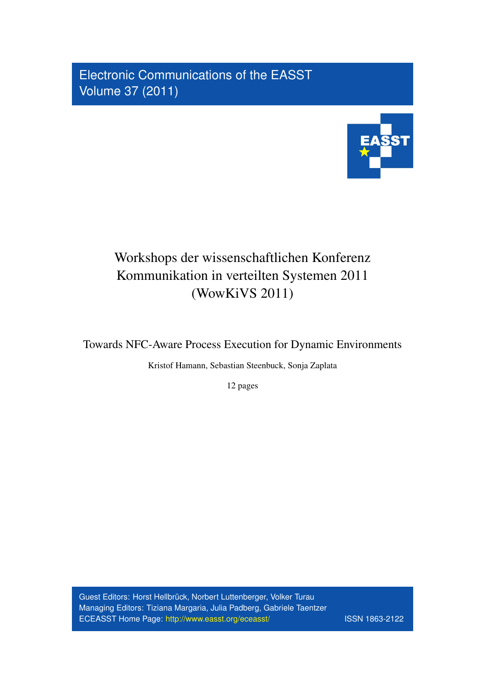Electronic Communications of the EASST Volume 37 (2011)



# Workshops der wissenschaftlichen Konferenz Kommunikation in verteilten Systemen 2011 (WowKiVS 2011)

Towards NFC-Aware Process Execution for Dynamic Environments

Kristof Hamann, Sebastian Steenbuck, Sonja Zaplata

12 pages

Guest Editors: Horst Hellbrück, Norbert Luttenberger, Volker Turau Managing Editors: Tiziana Margaria, Julia Padberg, Gabriele Taentzer ECEASST Home Page: <http://www.easst.org/eceasst/> ISSN 1863-2122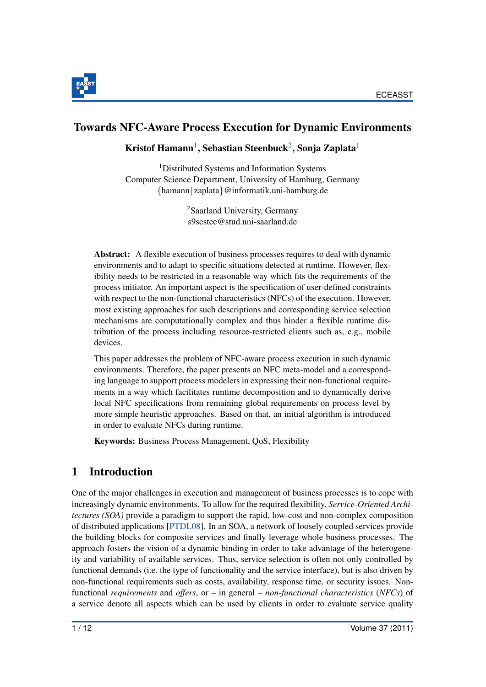

## <span id="page-1-0"></span>Towards NFC-Aware Process Execution for Dynamic Environments

#### Kristof Hamann $^1$  $^1$ , Sebastian Steenbuck $^2$  $^2$ , Sonja Zaplata $^1$

<sup>1</sup>Distributed Systems and Information Systems Computer Science Department, University of Hamburg, Germany {hamann| zaplata}@informatik.uni-hamburg.de

> <sup>2</sup>Saarland University, Germany s9sestee@stud.uni-saarland.de

<span id="page-1-1"></span>Abstract: A flexible execution of business processes requires to deal with dynamic environments and to adapt to specific situations detected at runtime. However, flexibility needs to be restricted in a reasonable way which fits the requirements of the process initiator. An important aspect is the specification of user-defined constraints with respect to the non-functional characteristics (NFCs) of the execution. However, most existing approaches for such descriptions and corresponding service selection mechanisms are computationally complex and thus hinder a flexible runtime distribution of the process including resource-restricted clients such as, e.g., mobile devices.

This paper addresses the problem of NFC-aware process execution in such dynamic environments. Therefore, the paper presents an NFC meta-model and a corresponding language to support process modelers in expressing their non-functional requirements in a way which facilitates runtime decomposition and to dynamically derive local NFC specifications from remaining global requirements on process level by more simple heuristic approaches. Based on that, an initial algorithm is introduced in order to evaluate NFCs during runtime.

Keywords: Business Process Management, QoS, Flexibility

## <span id="page-1-2"></span>1 Introduction

One of the major challenges in execution and management of business processes is to cope with increasingly dynamic environments. To allow for the required flexibility, *Service-Oriented Architectures (SOA)* provide a paradigm to support the rapid, low-cost and non-complex composition of distributed applications [\[PTDL08\]](#page-12-0). In an SOA, a network of loosely coupled services provide the building blocks for composite services and finally leverage whole business processes. The approach fosters the vision of a dynamic binding in order to take advantage of the heterogeneity and variability of available services. Thus, service selection is often not only controlled by functional demands (i.e. the type of functionality and the service interface), but is also driven by non-functional requirements such as costs, availability, response time, or security issues. Nonfunctional *requirements* and *offers*, or – in general – *non-functional characteristics* (*NFCs*) of a service denote all aspects which can be used by clients in order to evaluate service quality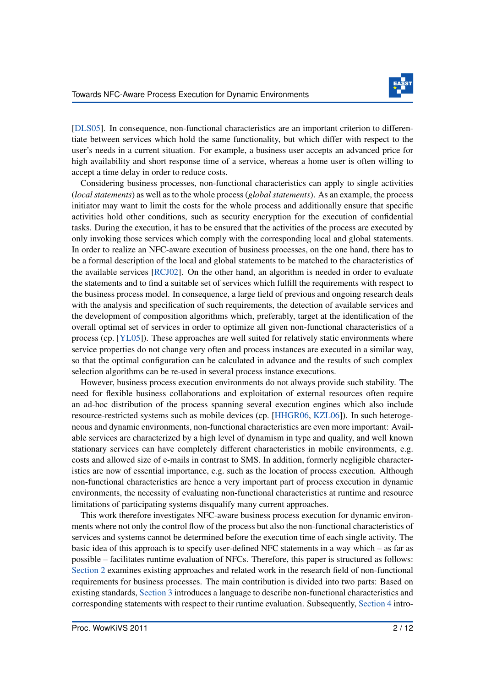

[\[DLS05\]](#page-12-1). In consequence, non-functional characteristics are an important criterion to differentiate between services which hold the same functionality, but which differ with respect to the user's needs in a current situation. For example, a business user accepts an advanced price for high availability and short response time of a service, whereas a home user is often willing to accept a time delay in order to reduce costs.

Considering business processes, non-functional characteristics can apply to single activities (*local statements*) as well as to the whole process (*global statements*). As an example, the process initiator may want to limit the costs for the whole process and additionally ensure that specific activities hold other conditions, such as security encryption for the execution of confidential tasks. During the execution, it has to be ensured that the activities of the process are executed by only invoking those services which comply with the corresponding local and global statements. In order to realize an NFC-aware execution of business processes, on the one hand, there has to be a formal description of the local and global statements to be matched to the characteristics of the available services [\[RCJ02\]](#page-12-2). On the other hand, an algorithm is needed in order to evaluate the statements and to find a suitable set of services which fulfill the requirements with respect to the business process model. In consequence, a large field of previous and ongoing research deals with the analysis and specification of such requirements, the detection of available services and the development of composition algorithms which, preferably, target at the identification of the overall optimal set of services in order to optimize all given non-functional characteristics of a process (cp. [\[YL05\]](#page-12-3)). These approaches are well suited for relatively static environments where service properties do not change very often and process instances are executed in a similar way, so that the optimal configuration can be calculated in advance and the results of such complex selection algorithms can be re-used in several process instance executions.

However, business process execution environments do not always provide such stability. The need for flexible business collaborations and exploitation of external resources often require an ad-hoc distribution of the process spanning several execution engines which also include resource-restricted systems such as mobile devices (cp. [\[HHGR06,](#page-12-4) [KZL06\]](#page-12-5)). In such heterogeneous and dynamic environments, non-functional characteristics are even more important: Available services are characterized by a high level of dynamism in type and quality, and well known stationary services can have completely different characteristics in mobile environments, e.g. costs and allowed size of e-mails in contrast to SMS. In addition, formerly negligible characteristics are now of essential importance, e.g. such as the location of process execution. Although non-functional characteristics are hence a very important part of process execution in dynamic environments, the necessity of evaluating non-functional characteristics at runtime and resource limitations of participating systems disqualify many current approaches.

This work therefore investigates NFC-aware business process execution for dynamic environments where not only the control flow of the process but also the non-functional characteristics of services and systems cannot be determined before the execution time of each single activity. The basic idea of this approach is to specify user-defined NFC statements in a way which – as far as possible – facilitates runtime evaluation of NFCs. Therefore, this paper is structured as follows: [Section 2](#page-3-0) examines existing approaches and related work in the research field of non-functional requirements for business processes. The main contribution is divided into two parts: Based on existing standards, [Section 3](#page-6-0) introduces a language to describe non-functional characteristics and corresponding statements with respect to their runtime evaluation. Subsequently, [Section 4](#page-8-0) intro-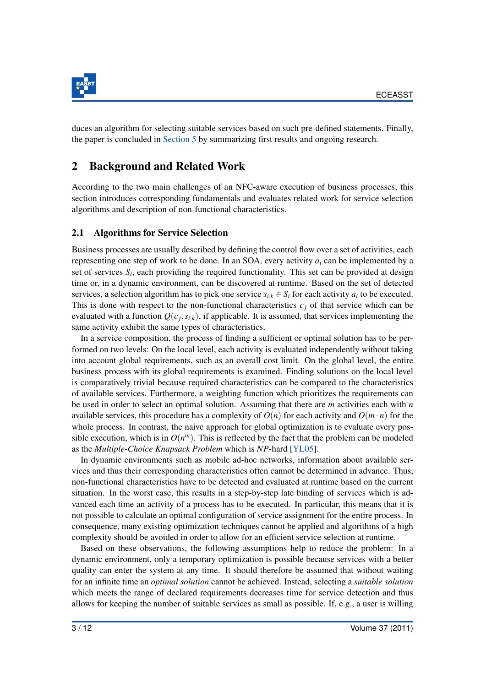

duces an algorithm for selecting suitable services based on such pre-defined statements. Finally, the paper is concluded in [Section 5](#page-11-0) by summarizing first results and ongoing research.

## <span id="page-3-0"></span>2 Background and Related Work

According to the two main challenges of an NFC-aware execution of business processes, this section introduces corresponding fundamentals and evaluates related work for service selection algorithms and description of non-functional characteristics.

#### <span id="page-3-1"></span>2.1 Algorithms for Service Selection

Business processes are usually described by defining the control flow over a set of activities, each representing one step of work to be done. In an SOA, every activity *a<sup>i</sup>* can be implemented by a set of services  $S_i$ , each providing the required functionality. This set can be provided at design time or, in a dynamic environment, can be discovered at runtime. Based on the set of detected services, a selection algorithm has to pick one service  $s_{i,k} \in S_i$  for each activity  $a_i$  to be executed. This is done with respect to the non-functional characteristics  $c_j$  of that service which can be evaluated with a function  $Q(c_j, s_{i,k})$ , if applicable. It is assumed, that services implementing the same activity exhibit the same types of characteristics.

In a service composition, the process of finding a sufficient or optimal solution has to be performed on two levels: On the local level, each activity is evaluated independently without taking into account global requirements, such as an overall cost limit. On the global level, the entire business process with its global requirements is examined. Finding solutions on the local level is comparatively trivial because required characteristics can be compared to the characteristics of available services. Furthermore, a weighting function which prioritizes the requirements can be used in order to select an optimal solution. Assuming that there are *m* activities each with *n* available services, this procedure has a complexity of  $O(n)$  for each activity and  $O(m \cdot n)$  for the whole process. In contrast, the naive approach for global optimization is to evaluate every possible execution, which is in  $O(n^m)$ . This is reflected by the fact that the problem can be modeled as the *Multiple-Choice Knapsack Problem* which is *NP*-hard [\[YL05\]](#page-12-3).

In dynamic environments such as mobile ad-hoc networks, information about available services and thus their corresponding characteristics often cannot be determined in advance. Thus, non-functional characteristics have to be detected and evaluated at runtime based on the current situation. In the worst case, this results in a step-by-step late binding of services which is advanced each time an activity of a process has to be executed. In particular, this means that it is not possible to calculate an optimal configuration of service assignment for the entire process. In consequence, many existing optimization techniques cannot be applied and algorithms of a high complexity should be avoided in order to allow for an efficient service selection at runtime.

Based on these observations, the following assumptions help to reduce the problem: In a dynamic environment, only a temporary optimization is possible because services with a better quality can enter the system at any time. It should therefore be assumed that without waiting for an infinite time an *optimal solution* cannot be achieved. Instead, selecting a *suitable solution* which meets the range of declared requirements decreases time for service detection and thus allows for keeping the number of suitable services as small as possible. If, e.g., a user is willing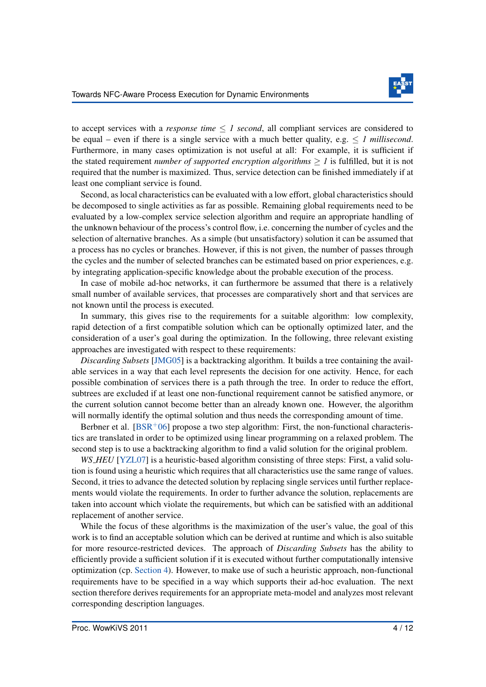

to accept services with a *response time*  $\leq 1$  *second*, all compliant services are considered to be equal – even if there is a single service with a much better quality, e.g.  $\leq$  1 millisecond. Furthermore, in many cases optimization is not useful at all: For example, it is sufficient if the stated requirement *number of supported encryption algorithms*  $\geq 1$  is fulfilled, but it is not required that the number is maximized. Thus, service detection can be finished immediately if at least one compliant service is found.

Second, as local characteristics can be evaluated with a low effort, global characteristics should be decomposed to single activities as far as possible. Remaining global requirements need to be evaluated by a low-complex service selection algorithm and require an appropriate handling of the unknown behaviour of the process's control flow, i.e. concerning the number of cycles and the selection of alternative branches. As a simple (but unsatisfactory) solution it can be assumed that a process has no cycles or branches. However, if this is not given, the number of passes through the cycles and the number of selected branches can be estimated based on prior experiences, e.g. by integrating application-specific knowledge about the probable execution of the process.

In case of mobile ad-hoc networks, it can furthermore be assumed that there is a relatively small number of available services, that processes are comparatively short and that services are not known until the process is executed.

In summary, this gives rise to the requirements for a suitable algorithm: low complexity, rapid detection of a first compatible solution which can be optionally optimized later, and the consideration of a user's goal during the optimization. In the following, three relevant existing approaches are investigated with respect to these requirements:

*Discarding Subsets* [\[JMG05\]](#page-12-6) is a backtracking algorithm. It builds a tree containing the available services in a way that each level represents the decision for one activity. Hence, for each possible combination of services there is a path through the tree. In order to reduce the effort, subtrees are excluded if at least one non-functional requirement cannot be satisfied anymore, or the current solution cannot become better than an already known one. However, the algorithm will normally identify the optimal solution and thus needs the corresponding amount of time.

Berbner et al.  $[BSR<sup>+</sup>06]$  $[BSR<sup>+</sup>06]$  propose a two step algorithm: First, the non-functional characteristics are translated in order to be optimized using linear programming on a relaxed problem. The second step is to use a backtracking algorithm to find a valid solution for the original problem.

*WS\_HEU* [\[YZL07\]](#page-12-8) is a heuristic-based algorithm consisting of three steps: First, a valid solution is found using a heuristic which requires that all characteristics use the same range of values. Second, it tries to advance the detected solution by replacing single services until further replacements would violate the requirements. In order to further advance the solution, replacements are taken into account which violate the requirements, but which can be satisfied with an additional replacement of another service.

<span id="page-4-0"></span>While the focus of these algorithms is the maximization of the user's value, the goal of this work is to find an acceptable solution which can be derived at runtime and which is also suitable for more resource-restricted devices. The approach of *Discarding Subsets* has the ability to efficiently provide a sufficient solution if it is executed without further computationally intensive optimization (cp. [Section 4\)](#page-8-0). However, to make use of such a heuristic approach, non-functional requirements have to be specified in a way which supports their ad-hoc evaluation. The next section therefore derives requirements for an appropriate meta-model and analyzes most relevant corresponding description languages.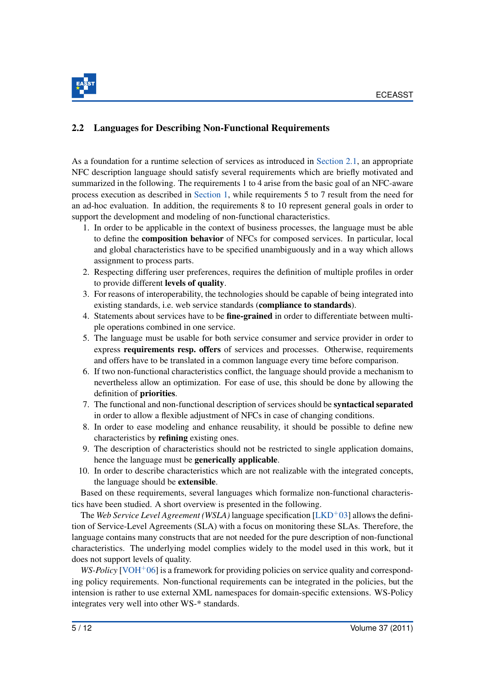

#### 2.2 Languages for Describing Non-Functional Requirements

As a foundation for a runtime selection of services as introduced in [Section 2.1,](#page-3-1) an appropriate NFC description language should satisfy several requirements which are briefly motivated and summarized in the following. The requirements 1 to 4 arise from the basic goal of an NFC-aware process execution as described in [Section 1,](#page-1-2) while requirements 5 to 7 result from the need for an ad-hoc evaluation. In addition, the requirements 8 to 10 represent general goals in order to support the development and modeling of non-functional characteristics.

- 1. In order to be applicable in the context of business processes, the language must be able to define the composition behavior of NFCs for composed services. In particular, local and global characteristics have to be specified unambiguously and in a way which allows assignment to process parts.
- 2. Respecting differing user preferences, requires the definition of multiple profiles in order to provide different levels of quality.
- 3. For reasons of interoperability, the technologies should be capable of being integrated into existing standards, i.e. web service standards (compliance to standards).
- 4. Statements about services have to be **fine-grained** in order to differentiate between multiple operations combined in one service.
- 5. The language must be usable for both service consumer and service provider in order to express requirements resp. offers of services and processes. Otherwise, requirements and offers have to be translated in a common language every time before comparison.
- 6. If two non-functional characteristics conflict, the language should provide a mechanism to nevertheless allow an optimization. For ease of use, this should be done by allowing the definition of priorities.
- 7. The functional and non-functional description of services should be syntactical separated in order to allow a flexible adjustment of NFCs in case of changing conditions.
- 8. In order to ease modeling and enhance reusability, it should be possible to define new characteristics by refining existing ones.
- 9. The description of characteristics should not be restricted to single application domains, hence the language must be generically applicable.
- 10. In order to describe characteristics which are not realizable with the integrated concepts, the language should be extensible.

Based on these requirements, several languages which formalize non-functional characteristics have been studied. A short overview is presented in the following.

The *Web Service Level Agreement (WSLA)* language specification [\[LKD](#page-12-9)+03] allows the definition of Service-Level Agreements (SLA) with a focus on monitoring these SLAs. Therefore, the language contains many constructs that are not needed for the pure description of non-functional characteristics. The underlying model complies widely to the model used in this work, but it does not support levels of quality.

*WS-Policy* [\[VOH](#page-12-10)<sup>+</sup>06] is a framework for providing policies on service quality and corresponding policy requirements. Non-functional requirements can be integrated in the policies, but the intension is rather to use external XML namespaces for domain-specific extensions. WS-Policy integrates very well into other WS-\* standards.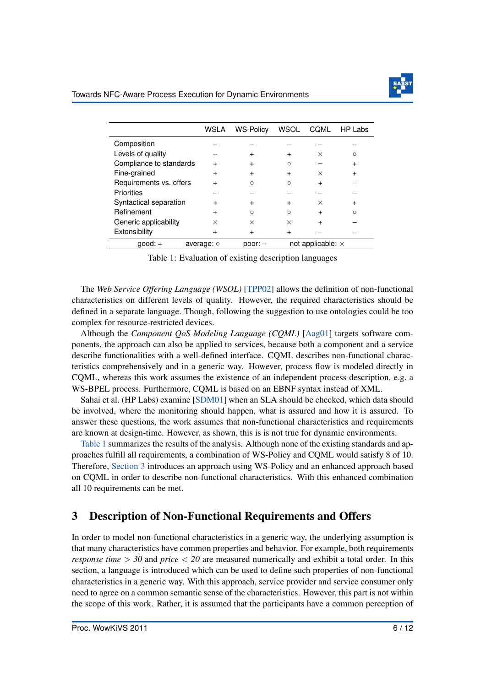

<span id="page-6-1"></span>

|                         | WSLA       | <b>WS-Policy</b> | <b>WSOL</b>              | COML     | HP Labs |
|-------------------------|------------|------------------|--------------------------|----------|---------|
| Composition             |            |                  |                          |          |         |
| Levels of quality       |            |                  |                          | $\times$ | ∩       |
| Compliance to standards |            |                  | Ω                        |          |         |
| Fine-grained            |            |                  | $\div$                   | $\times$ |         |
| Requirements vs. offers |            | Ω                | $\Omega$                 |          |         |
| <b>Priorities</b>       |            |                  |                          |          |         |
| Syntactical separation  |            | ٠                | $\div$                   | $\times$ |         |
| Refinement              |            | Ω                | $\Omega$                 |          |         |
| Generic applicability   | ×          | ×                | $\times$                 |          |         |
| Extensibility           |            | +                | $\ddot{}$                |          |         |
| $qood: +$               | average: o | $poor:$ $-$      | not applicable: $\times$ |          |         |

Table 1: Evaluation of existing description languages

The *Web Service Offering Language (WSOL)* [\[TPP02\]](#page-12-11) allows the definition of non-functional characteristics on different levels of quality. However, the required characteristics should be defined in a separate language. Though, following the suggestion to use ontologies could be too complex for resource-restricted devices.

Although the *Component QoS Modeling Language (CQML)* [\[Aag01\]](#page-12-12) targets software components, the approach can also be applied to services, because both a component and a service describe functionalities with a well-defined interface. CQML describes non-functional characteristics comprehensively and in a generic way. However, process flow is modeled directly in CQML, whereas this work assumes the existence of an independent process description, e.g. a WS-BPEL process. Furthermore, CQML is based on an EBNF syntax instead of XML.

Sahai et al. (HP Labs) examine [\[SDM01\]](#page-12-13) when an SLA should be checked, which data should be involved, where the monitoring should happen, what is assured and how it is assured. To answer these questions, the work assumes that non-functional characteristics and requirements are known at design-time. However, as shown, this is is not true for dynamic environments.

[Table 1](#page-6-1) summarizes the results of the analysis. Although none of the existing standards and approaches fulfill all requirements, a combination of WS-Policy and CQML would satisfy 8 of 10. Therefore, [Section 3](#page-6-0) introduces an approach using WS-Policy and an enhanced approach based on CQML in order to describe non-functional characteristics. With this enhanced combination all 10 requirements can be met.

## <span id="page-6-0"></span>3 Description of Non-Functional Requirements and Offers

In order to model non-functional characteristics in a generic way, the underlying assumption is that many characteristics have common properties and behavior. For example, both requirements *response time* > *30* and *price* < *20* are measured numerically and exhibit a total order. In this section, a language is introduced which can be used to define such properties of non-functional characteristics in a generic way. With this approach, service provider and service consumer only need to agree on a common semantic sense of the characteristics. However, this part is not within the scope of this work. Rather, it is assumed that the participants have a common perception of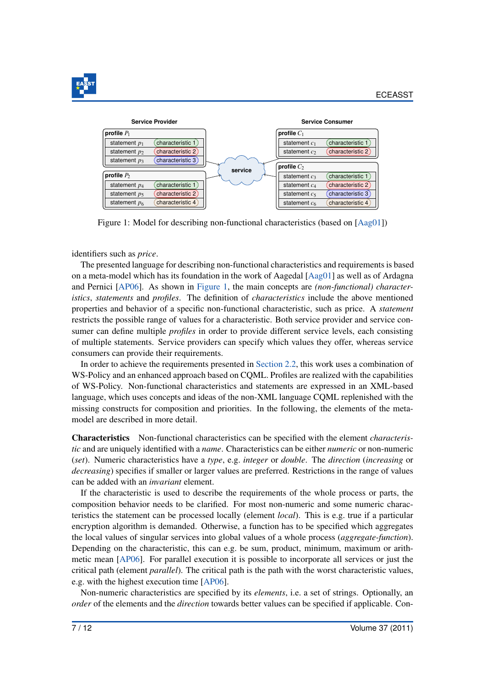

<span id="page-7-0"></span>

Figure 1: Model for describing non-functional characteristics (based on [\[Aag01\]](#page-12-12))

identifiers such as *price*.

The presented language for describing non-functional characteristics and requirements is based on a meta-model which has its foundation in the work of Aagedal [\[Aag01\]](#page-12-12) as well as of Ardagna and Pernici [\[AP06\]](#page-12-14). As shown in [Figure 1,](#page-7-0) the main concepts are *(non-functional) characteristics*, *statements* and *profiles*. The definition of *characteristics* include the above mentioned properties and behavior of a specific non-functional characteristic, such as price. A *statement* restricts the possible range of values for a characteristic. Both service provider and service consumer can define multiple *profiles* in order to provide different service levels, each consisting of multiple statements. Service providers can specify which values they offer, whereas service consumers can provide their requirements.

In order to achieve the requirements presented in [Section 2.2,](#page-4-0) this work uses a combination of WS-Policy and an enhanced approach based on CQML. Profiles are realized with the capabilities of WS-Policy. Non-functional characteristics and statements are expressed in an XML-based language, which uses concepts and ideas of the non-XML language CQML replenished with the missing constructs for composition and priorities. In the following, the elements of the metamodel are described in more detail.

Characteristics Non-functional characteristics can be specified with the element *characteristic* and are uniquely identified with a *name*. Characteristics can be either *numeric* or non-numeric (*set*). Numeric characteristics have a *type*, e.g. *integer* or *double*. The *direction* (*increasing* or *decreasing*) specifies if smaller or larger values are preferred. Restrictions in the range of values can be added with an *invariant* element.

If the characteristic is used to describe the requirements of the whole process or parts, the composition behavior needs to be clarified. For most non-numeric and some numeric characteristics the statement can be processed locally (element *local*). This is e.g. true if a particular encryption algorithm is demanded. Otherwise, a function has to be specified which aggregates the local values of singular services into global values of a whole process (*aggregate-function*). Depending on the characteristic, this can e.g. be sum, product, minimum, maximum or arithmetic mean [\[AP06\]](#page-12-14). For parallel execution it is possible to incorporate all services or just the critical path (element *parallel*). The critical path is the path with the worst characteristic values, e.g. with the highest execution time [\[AP06\]](#page-12-14).

Non-numeric characteristics are specified by its *elements*, i.e. a set of strings. Optionally, an *order* of the elements and the *direction* towards better values can be specified if applicable. Con-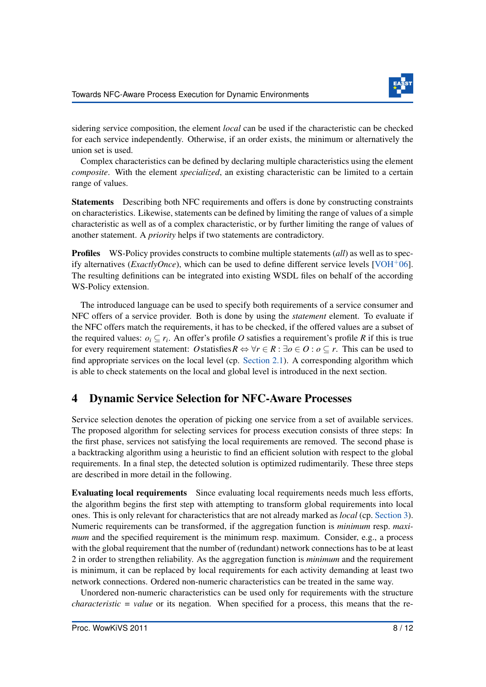

sidering service composition, the element *local* can be used if the characteristic can be checked for each service independently. Otherwise, if an order exists, the minimum or alternatively the union set is used.

Complex characteristics can be defined by declaring multiple characteristics using the element *composite*. With the element *specialized*, an existing characteristic can be limited to a certain range of values.

Statements Describing both NFC requirements and offers is done by constructing constraints on characteristics. Likewise, statements can be defined by limiting the range of values of a simple characteristic as well as of a complex characteristic, or by further limiting the range of values of another statement. A *priority* helps if two statements are contradictory.

Profiles WS-Policy provides constructs to combine multiple statements (*all*) as well as to specify alternatives (*ExactlyOnce*), which can be used to define different service levels [\[VOH](#page-12-10)<sup>+</sup>06]. The resulting definitions can be integrated into existing WSDL files on behalf of the according WS-Policy extension.

The introduced language can be used to specify both requirements of a service consumer and NFC offers of a service provider. Both is done by using the *statement* element. To evaluate if the NFC offers match the requirements, it has to be checked, if the offered values are a subset of the required values:  $o_i \subseteq r_i$ . An offer's profile *O* satisfies a requirement's profile *R* if this is true for every requirement statement: *O* statisfies  $R \Leftrightarrow \forall r \in R : \exists o \in O : o \subseteq r$ . This can be used to find appropriate services on the local level (cp. [Section 2.1\)](#page-3-1). A corresponding algorithm which is able to check statements on the local and global level is introduced in the next section.

## <span id="page-8-0"></span>4 Dynamic Service Selection for NFC-Aware Processes

Service selection denotes the operation of picking one service from a set of available services. The proposed algorithm for selecting services for process execution consists of three steps: In the first phase, services not satisfying the local requirements are removed. The second phase is a backtracking algorithm using a heuristic to find an efficient solution with respect to the global requirements. In a final step, the detected solution is optimized rudimentarily. These three steps are described in more detail in the following.

Evaluating local requirements Since evaluating local requirements needs much less efforts, the algorithm begins the first step with attempting to transform global requirements into local ones. This is only relevant for characteristics that are not already marked as *local* (cp. [Section 3\)](#page-6-0). Numeric requirements can be transformed, if the aggregation function is *minimum* resp. *maximum* and the specified requirement is the minimum resp. maximum. Consider, e.g., a process with the global requirement that the number of (redundant) network connections has to be at least 2 in order to strengthen reliability. As the aggregation function is *minimum* and the requirement is minimum, it can be replaced by local requirements for each activity demanding at least two network connections. Ordered non-numeric characteristics can be treated in the same way.

Unordered non-numeric characteristics can be used only for requirements with the structure *characteristic = value* or its negation. When specified for a process, this means that the re-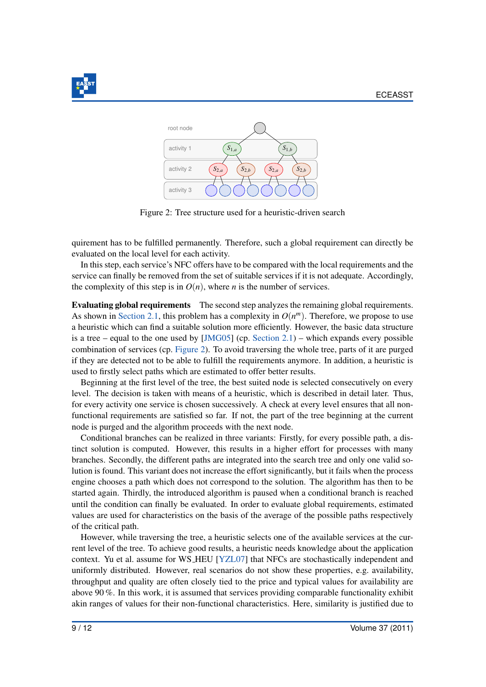<span id="page-9-0"></span>



Figure 2: Tree structure used for a heuristic-driven search

quirement has to be fulfilled permanently. Therefore, such a global requirement can directly be evaluated on the local level for each activity.

In this step, each service's NFC offers have to be compared with the local requirements and the service can finally be removed from the set of suitable services if it is not adequate. Accordingly, the complexity of this step is in  $O(n)$ , where *n* is the number of services.

Evaluating global requirements The second step analyzes the remaining global requirements. As shown in [Section 2.1,](#page-3-1) this problem has a complexity in  $O(n^m)$ . Therefore, we propose to use a heuristic which can find a suitable solution more efficiently. However, the basic data structure is a tree – equal to the one used by  $[JMG05]$  (cp. [Section 2.1\)](#page-3-1) – which expands every possible combination of services (cp. [Figure 2\)](#page-9-0). To avoid traversing the whole tree, parts of it are purged if they are detected not to be able to fulfill the requirements anymore. In addition, a heuristic is used to firstly select paths which are estimated to offer better results.

Beginning at the first level of the tree, the best suited node is selected consecutively on every level. The decision is taken with means of a heuristic, which is described in detail later. Thus, for every activity one service is chosen successively. A check at every level ensures that all nonfunctional requirements are satisfied so far. If not, the part of the tree beginning at the current node is purged and the algorithm proceeds with the next node.

Conditional branches can be realized in three variants: Firstly, for every possible path, a distinct solution is computed. However, this results in a higher effort for processes with many branches. Secondly, the different paths are integrated into the search tree and only one valid solution is found. This variant does not increase the effort significantly, but it fails when the process engine chooses a path which does not correspond to the solution. The algorithm has then to be started again. Thirdly, the introduced algorithm is paused when a conditional branch is reached until the condition can finally be evaluated. In order to evaluate global requirements, estimated values are used for characteristics on the basis of the average of the possible paths respectively of the critical path.

However, while traversing the tree, a heuristic selects one of the available services at the current level of the tree. To achieve good results, a heuristic needs knowledge about the application context. Yu et al. assume for WS HEU [\[YZL07\]](#page-12-8) that NFCs are stochastically independent and uniformly distributed. However, real scenarios do not show these properties, e.g. availability, throughput and quality are often closely tied to the price and typical values for availability are above 90 %. In this work, it is assumed that services providing comparable functionality exhibit akin ranges of values for their non-functional characteristics. Here, similarity is justified due to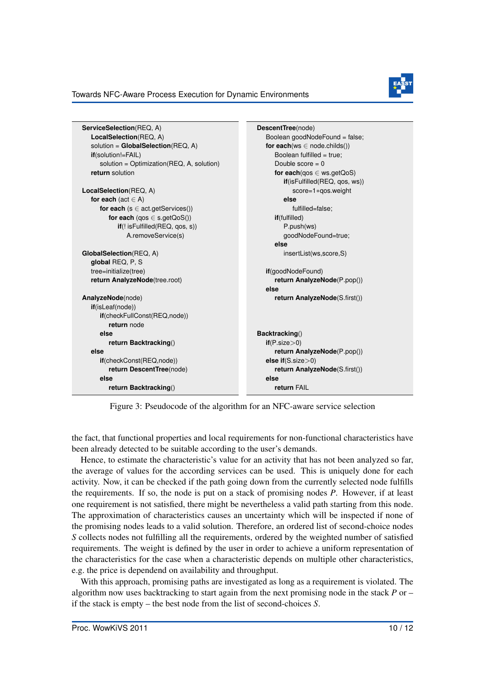

#### Towards NFC-Aware Process Execution for Dynamic Environments

<span id="page-10-0"></span>

| ServiceSelection(REQ, A)                    | DescentTree(node)                  |  |  |
|---------------------------------------------|------------------------------------|--|--|
| LocalSelection(REQ, A)                      | Boolean goodNodeFound = false;     |  |  |
| solution = $GlobalSelection(REG, A)$        | for each( $ws \in node.childs()$ ) |  |  |
| <b>if</b> (solution!=FAIL)                  | Boolean fulfilled = true;          |  |  |
| solution = $Optimization(REG, A, solution)$ | Double score $= 0$                 |  |  |
| return solution                             | for each(qos $\in$ ws.getQoS)      |  |  |
|                                             | if(isFulfilled(REQ, qos, ws))      |  |  |
| LocalSelection(REQ, A)                      | score=1*gos.weight                 |  |  |
| for each (act $\in$ A)                      | else                               |  |  |
| for each $(s \in act.getService())$         | fulfilled=false;                   |  |  |
| for each $(qos \in s.getQoS())$             | if(fulfilled)                      |  |  |
| if(!isFulfilled(REQ, qos, s))               | P.push(ws)                         |  |  |
| A.removeService(s)                          | goodNodeFound=true;                |  |  |
|                                             | else                               |  |  |
| GlobalSelection(REQ, A)                     | insertList(ws,score,S)             |  |  |
| global REQ, P, S                            |                                    |  |  |
| tree=initialize(tree)                       | if(goodNodeFound)                  |  |  |
| return AnalyzeNode(tree.root)               | return AnalyzeNode(P.pop())        |  |  |
|                                             | else                               |  |  |
| AnalyzeNode(node)                           | return AnalyzeNode(S.first())      |  |  |
| if(isLeaf(node))                            |                                    |  |  |
| if(checkFullConst(REQ,node))                |                                    |  |  |
| return node                                 |                                    |  |  |
| else                                        | Backtracking()                     |  |  |
| return Backtracking()                       | if(P.size > 0)                     |  |  |
| else                                        | return AnalyzeNode(P.pop())        |  |  |
| if(checkConst(REQ,node))                    | else if $(S.size > 0)$             |  |  |
| return DescentTree(node)                    | return AnalyzeNode(S.first())      |  |  |
| else                                        | else                               |  |  |
| return Backtracking()                       | return FAIL                        |  |  |
|                                             |                                    |  |  |

Figure 3: Pseudocode of the algorithm for an NFC-aware service selection

the fact, that functional properties and local requirements for non-functional characteristics have been already detected to be suitable according to the user's demands.

Hence, to estimate the characteristic's value for an activity that has not been analyzed so far, the average of values for the according services can be used. This is uniquely done for each activity. Now, it can be checked if the path going down from the currently selected node fulfills the requirements. If so, the node is put on a stack of promising nodes *P*. However, if at least one requirement is not satisfied, there might be nevertheless a valid path starting from this node. The approximation of characteristics causes an uncertainty which will be inspected if none of the promising nodes leads to a valid solution. Therefore, an ordered list of second-choice nodes *S* collects nodes not fulfilling all the requirements, ordered by the weighted number of satisfied requirements. The weight is defined by the user in order to achieve a uniform representation of the characteristics for the case when a characteristic depends on multiple other characteristics, e.g. the price is dependend on availability and throughput.

With this approach, promising paths are investigated as long as a requirement is violated. The algorithm now uses backtracking to start again from the next promising node in the stack *P* or – if the stack is empty – the best node from the list of second-choices *S*.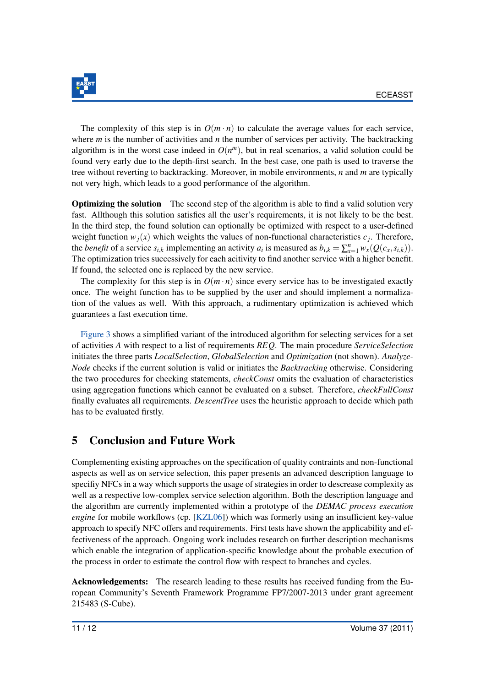

The complexity of this step is in  $O(m \cdot n)$  to calculate the average values for each service, where *m* is the number of activities and *n* the number of services per activity. The backtracking algorithm is in the worst case indeed in  $O(n^m)$ , but in real scenarios, a valid solution could be found very early due to the depth-first search. In the best case, one path is used to traverse the tree without reverting to backtracking. Moreover, in mobile environments, *n* and *m* are typically not very high, which leads to a good performance of the algorithm.

Optimizing the solution The second step of the algorithm is able to find a valid solution very fast. Allthough this solution satisfies all the user's requirements, it is not likely to be the best. In the third step, the found solution can optionally be optimized with respect to a user-defined weight function  $w_j(x)$  which weights the values of non-functional characteristics  $c_j$ . Therefore, the *benefit* of a service  $s_{i,k}$  implementing an activity  $a_i$  is measured as  $b_{i,k} = \sum_{x=1}^n w_x(Q(c_x, s_{i,k}))$ . The optimization tries successively for each acitivity to find another service with a higher benefit. If found, the selected one is replaced by the new service.

The complexity for this step is in  $O(m \cdot n)$  since every service has to be investigated exactly once. The weight function has to be supplied by the user and should implement a normalization of the values as well. With this approach, a rudimentary optimization is achieved which guarantees a fast execution time.

[Figure 3](#page-10-0) shows a simplified variant of the introduced algorithm for selecting services for a set of activities *A* with respect to a list of requirements *REQ*. The main procedure *ServiceSelection* initiates the three parts *LocalSelection*, *GlobalSelection* and *Optimization* (not shown). *Analyze-Node* checks if the current solution is valid or initiates the *Backtracking* otherwise. Considering the two procedures for checking statements, *checkConst* omits the evaluation of characteristics using aggregation functions which cannot be evaluated on a subset. Therefore, *checkFullConst* finally evaluates all requirements. *DescentTree* uses the heuristic approach to decide which path has to be evaluated firstly.

## <span id="page-11-0"></span>5 Conclusion and Future Work

Complementing existing approaches on the specification of quality contraints and non-functional aspects as well as on service selection, this paper presents an advanced description language to specifiy NFCs in a way which supports the usage of strategies in order to descrease complexity as well as a respective low-complex service selection algorithm. Both the description language and the algorithm are currently implemented within a prototype of the *DEMAC process execution engine* for mobile workflows (cp. [\[KZL06\]](#page-12-5)) which was formerly using an insufficient key-value approach to specify NFC offers and requirements. First tests have shown the applicability and effectiveness of the approach. Ongoing work includes research on further description mechanisms which enable the integration of application-specific knowledge about the probable execution of the process in order to estimate the control flow with respect to branches and cycles.

Acknowledgements: The research leading to these results has received funding from the European Community's Seventh Framework Programme FP7/2007-2013 under grant agreement 215483 (S-Cube).